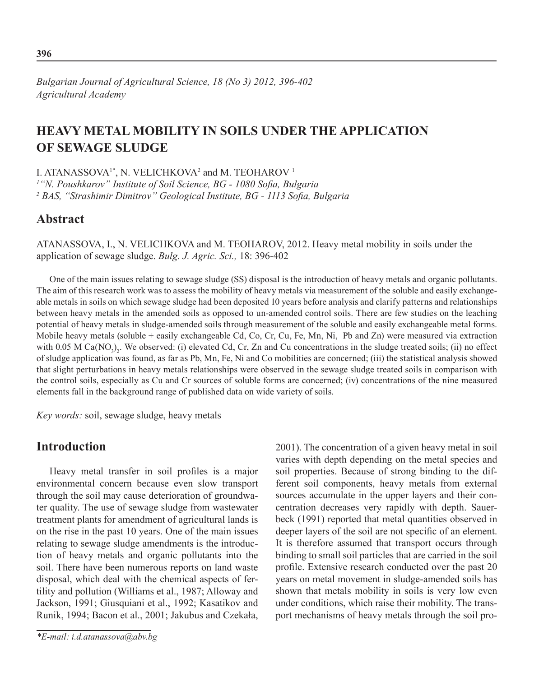*Bulgarian Journal of Agricultural Science, 18 (No 3) 2012, 396-402 Agricultural Academy*

# **Heavy metal mobility in soils under the application of sewage sludge**

I. ATANASSOVA<sup>1\*</sup>, N. VELICHKOVA<sup>2</sup> and M. TEOHAROV<sup>1</sup>

*1 "N. Poushkarov" Institute of Soil Science, BG - 1080 Sofia, Bulgaria* <sup>2</sup> BAS, "Strashimir Dimitrov" Geological Institute, BG - 1113 Sofia, Bulgaria

## **Abstract**

Atanassova, I., N. Velichkova and M. Teoharov, 2012. Heavy metal mobility in soils under the application of sewage sludge. *Bulg. J. Agric. Sci.,* 18: 396-402

One of the main issues relating to sewage sludge (SS) disposal is the introduction of heavy metals and organic pollutants. The aim of this research work was to assess the mobility of heavy metals via measurement of the soluble and easily exchangeable metals in soils on which sewage sludge had been deposited 10 years before analysis and clarify patterns and relationships between heavy metals in the amended soils as opposed to un-amended control soils. There are few studies on the leaching potential of heavy metals in sludge-amended soils through measurement of the soluble and easily exchangeable metal forms. Mobile heavy metals (soluble + easily exchangeable Cd, Co, Cr, Cu, Fe, Mn, Ni, Pb and Zn) were measured via extraction with 0.05 M  $Ca(NO<sub>3</sub>)<sub>2</sub>$ . We observed: (i) elevated Cd, Cr, Zn and Cu concentrations in the sludge treated soils; (ii) no effect of sludge application was found, as far as Pb, Mn, Fe, Ni and Co mobilities are concerned; (iii) the statistical analysis showed that slight perturbations in heavy metals relationships were observed in the sewage sludge treated soils in comparison with the control soils, especially as Cu and Cr sources of soluble forms are concerned; (iv) concentrations of the nine measured elements fall in the background range of published data on wide variety of soils.

*Key words:* soil, sewage sludge, heavy metals

## **Introduction**

Heavy metal transfer in soil profiles is a major environmental concern because even slow transport through the soil may cause deterioration of groundwater quality. The use of sewage sludge from wastewater treatment plants for amendment of agricultural lands is on the rise in the past 10 years. One of the main issues relating to sewage sludge amendments is the introduction of heavy metals and organic pollutants into the soil. There have been numerous reports on land waste disposal, which deal with the chemical aspects of fertility and pollution (Williams et al., 1987; Alloway and Jackson, 1991; Giusquiani et al., 1992; Kasatikov and Runik, 1994; Bacon et al., 2001; Jakubus and Czekała,

2001). The concentration of a given heavy metal in soil varies with depth depending on the metal species and soil properties. Because of strong binding to the different soil components, heavy metals from external sources accumulate in the upper layers and their concentration decreases very rapidly with depth. Sauerbeck (1991) reported that metal quantities observed in deeper layers of the soil are not specific of an element. It is therefore assumed that transport occurs through binding to small soil particles that are carried in the soil profile. Extensive research conducted over the past 20 years on metal movement in sludge-amended soils has shown that metals mobility in soils is very low even under conditions, which raise their mobility. The transport mechanisms of heavy metals through the soil pro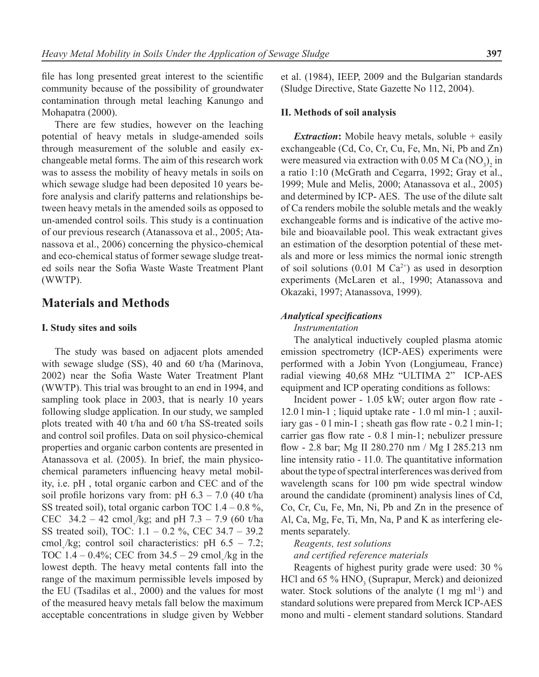file has long presented great interest to the scientific community because of the possibility of groundwater contamination through metal leaching Kanungo and Mohapatra (2000).

There are few studies, however on the leaching potential of heavy metals in sludge-amended soils through measurement of the soluble and easily exchangeable metal forms. The aim of this research work was to assess the mobility of heavy metals in soils on which sewage sludge had been deposited 10 years before analysis and clarify patterns and relationships between heavy metals in the amended soils as opposed to un-amended control soils. This study is a continuation of our previous research (Atanassova et al., 2005; Atanassova et al., 2006) concerning the physico-chemical and eco-chemical status of former sewage sludge treated soils near the Sofia Waste Waste Treatment Plant (WWTP).

## **Materials and Methods**

### **I. Study sites and soils**

The study was based on adjacent plots amended with sewage sludge (SS), 40 and 60 t/ha (Marinova, 2002) near the Sofia Waste Water Treatment Plant (WWTP). This trial was brought to an end in 1994, and sampling took place in 2003, that is nearly 10 years following sludge application. In our study, we sampled plots treated with 40 t/ha and 60 t/ha SS-treated soils and control soil profiles. Data on soil physico-chemical properties and organic carbon contents are presented in Atanassova et al. (2005). In brief, the main physicochemical parameters influencing heavy metal mobility, i.e. pH , total organic carbon and CEC and of the soil profile horizons vary from: pH  $6.3 - 7.0$  (40 t/ha SS treated soil), total organic carbon TOC  $1.4 - 0.8 \%$ , CEC  $34.2 - 42$  cmol<sub>+</sub>/kg; and pH  $7.3 - 7.9$  (60 t/ha SS treated soil), TOC: 1.1 – 0.2 %, CEC 34.7 – 39.2 cmol<sub>+</sub>/kg; control soil characteristics: pH  $6.5 - 7.2$ ; TOC  $1.4 - 0.4\%$ ; CEC from  $34.5 - 29$  cmol<sub>+</sub>/kg in the lowest depth. The heavy metal contents fall into the range of the maximum permissible levels imposed by the EU (Tsadilas et al., 2000) and the values for most of the measured heavy metals fall below the maximum acceptable concentrations in sludge given by Webber

et al. (1984), IEEP, 2009 and the Bulgarian standards (Sludge Directive, State Gazette No 112, 2004).

#### **II. Methods of soil analysis**

*Extraction*: Mobile heavy metals, soluble + easily exchangeable (Cd, Co, Cr, Cu, Fe, Mn, Ni, Pb and Zn) were measured via extraction with  $0.05$  M Ca  $(NO_3)_2$  in a ratio 1:10 (McGrath and Cegarra, 1992; Gray et al., 1999; Mule and Melis, 2000; Atanassova et al., 2005) and determined by ICP- AES. The use of the dilute salt of Ca renders mobile the soluble metals and the weakly exchangeable forms and is indicative of the active mobile and bioavailable pool. This weak extractant gives an estimation of the desorption potential of these metals and more or less mimics the normal ionic strength of soil solutions  $(0.01 \text{ M } \text{Ca}^{2+})$  as used in desorption experiments (McLaren et al., 1990; Atanassova and Okazaki, 1997; Atanassova, 1999).

### *Analytical specifications*

#### *Instrumentation*

The analytical inductively coupled plasma atomic emission spectrometry (ICP-AES) experiments were performed with a Jobin Yvon (Longjumeau, France) radial viewing 40,68 MHz "ULTIMA 2" ICP-AES equipment and ICP operating conditions as follows:

Incident power - 1.05 kW; outer argon flow rate - 12.0 l min-1 ; liquid uptake rate - 1.0 ml min-1 ; auxiliary gas - 0 l min-1 ; sheath gas flow rate - 0.2 l min-1; carrier gas flow rate - 0.8 l min-1; nebulizer pressure flow - 2.8 bar; Mg II 280.270 nm / Mg I 285.213 nm line intensity ratio - 11.0. The quantitative information about the type of spectral interferences was derived from wavelength scans for 100 pm wide spectral window around the candidate (prominent) analysis lines of Cd, Co, Cr, Cu, Fe, Mn, Ni, Pb and Zn in the presence of Al, Ca, Mg, Fe, Ti, Mn, Na, P and K as interfering elements separately.

#### *Reagents, test solutions*

*and certified reference materials*

Reagents of highest purity grade were used: 30 % HCl and  $65\%$  HNO<sub>3</sub> (Suprapur, Merck) and deionized water. Stock solutions of the analyte  $(1 \text{ mg ml-1})$  and standard solutions were prepared from Merck ICP-AES mono and multi - element standard solutions. Standard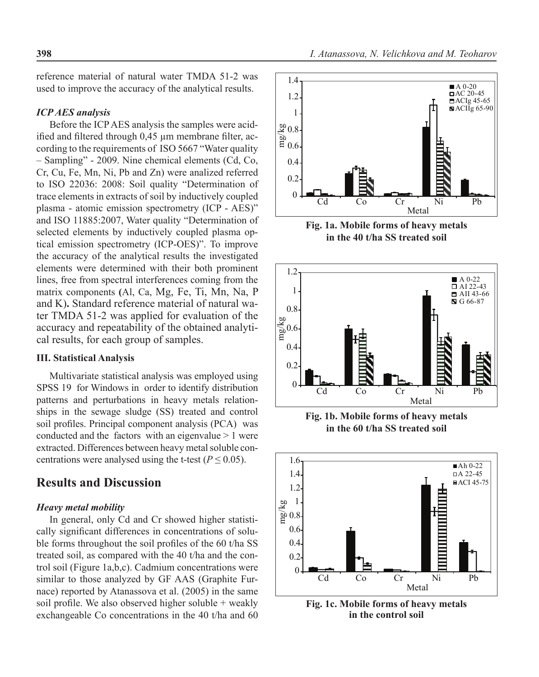reference material of natural water TMDA 51-2 was used to improve the accuracy of the analytical results.

### *ICP AES analysis*

Before the ICP AES analysis the samples were acidified and filtered through 0,45 µm membrane filter, according to the requirements of ISO 5667 "Water quality – Sampling" - 2009. Nine chemical elements (Cd, Co, Cr, Cu, Fe, Mn, Ni, Pb and Zn) were analized referred to ISO 22036: 2008: Soil quality "Determination of trace elements in extracts of soil by inductively coupled plasma - atomic emission spectrometry (ICP - AES)" and ISO 11885:2007, Water quality "Determination of selected elements by inductively coupled plasma optical emission spectrometry (ICP-OES)". To improve the accuracy of the analytical results the investigated elements were determined with their both prominent lines, free from spectral interferences coming from the matrix components **(**Al, Ca, Mg, Fe, Ti, Mn, Na, P and K)**.** Standard reference material of natural water TMDA 51-2 was applied for evaluation of the accuracy and repeatability of the obtained analytical results, for each group of samples.

### **III. Statistical Analysis**

Multivariate statistical analysis was employed using SPSS 19 for Windows in order to identify distribution patterns and perturbations in heavy metals relationships in the sewage sludge (SS) treated and control soil profiles. Principal component analysis (PCA) was conducted and the factors with an eigenvalue > 1 were extracted. Differences between heavy metal soluble concentrations were analysed using the t-test ( $P \le 0.05$ ).

## **Results and Discussion**

#### *Heavy metal mobility*

In general, only Cd and Cr showed higher statistically significant differences in concentrations of soluble forms throughout the soil profiles of the 60 t/ha SS treated soil, as compared with the 40 t/ha and the control soil (Figure 1a,b,c). Cadmium concentrations were similar to those analyzed by GF AAS (Graphite Furnace) reported by Atanassova et al. (2005) in the same soil profile. We also observed higher soluble + weakly exchangeable Co concentrations in the 40 t/ha and 60



**Fig. 1a. Mobile forms of heavy metals in the 40 t/ha SS treated soil**



**Fig. 1b. Mobile forms of heavy metals in the 60 t/ha SS treated soil**



**Fig. 1c. Mobile forms of heavy metals in the control soil**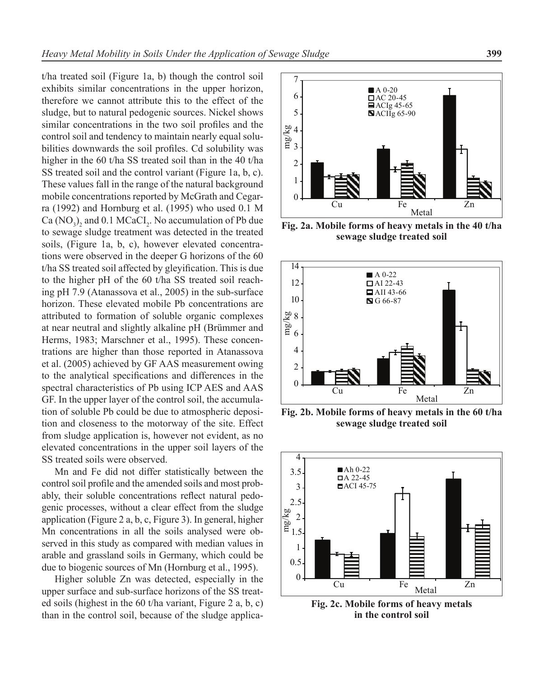t/ha treated soil (Figure 1a, b) though the control soil exhibits similar concentrations in the upper horizon, therefore we cannot attribute this to the effect of the sludge, but to natural pedogenic sources. Nickel shows similar concentrations in the two soil profiles and the control soil and tendency to maintain nearly equal solubilities downwards the soil profiles. Cd solubility was higher in the 60 t/ha SS treated soil than in the 40 t/ha SS treated soil and the control variant (Figure 1a, b, c). These values fall in the range of the natural background mobile concentrations reported by McGrath and Cegarra (1992) and Hornburg et al. (1995) who used 0.1 M Ca  $(NO<sub>3</sub>)<sub>2</sub>$  and 0.1 MCaCI<sub>2</sub>. No accumulation of Pb due to sewage sludge treatment was detected in the treated soils, (Figure 1a, b, c), however elevated concentrations were observed in the deeper G horizons of the 60 t/ha SS treated soil affected by gleyification. This is due to the higher pH of the 60 t/ha SS treated soil reaching pH 7.9 (Atanassova et al., 2005) in the sub-surface horizon. These elevated mobile Pb concentrations are attributed to formation of soluble organic complexes at near neutral and slightly alkaline pH (Brümmer and Herms, 1983; Marschner et al., 1995). These concentrations are higher than those reported in Atanassova et al. (2005) achieved by GF AAS measurement owing to the analytical specifications and differences in the spectral characteristics of Pb using ICP AES and AAS GF. In the upper layer of the control soil, the accumulation of soluble Pb could be due to atmospheric deposition and closeness to the motorway of the site. Effect from sludge application is, however not evident, as no elevated concentrations in the upper soil layers of the SS treated soils were observed.

Mn and Fe did not differ statistically between the control soil profile and the amended soils and most probably, their soluble concentrations reflect natural pedogenic processes, without a clear effect from the sludge application (Figure 2 a, b, c, Figure 3). In general, higher Mn concentrations in all the soils analysed were observed in this study as compared with median values in arable and grassland soils in Germany, which could be due to biogenic sources of Mn (Hornburg et al., 1995).

Higher soluble Zn was detected, especially in the upper surface and sub-surface horizons of the SS treated soils (highest in the 60 t/ha variant, Figure 2 a, b, c) than in the control soil, because of the sludge applica-



**Fig. 2a. Mobile forms of heavy metals in the 40 t/ha sewage sludge treated soil**



**Fig. 2b. Mobile forms of heavy metals in the 60 t/ha sewage sludge treated soil**



**Fig. 2c. Mobile forms of heavy metals in the control soil**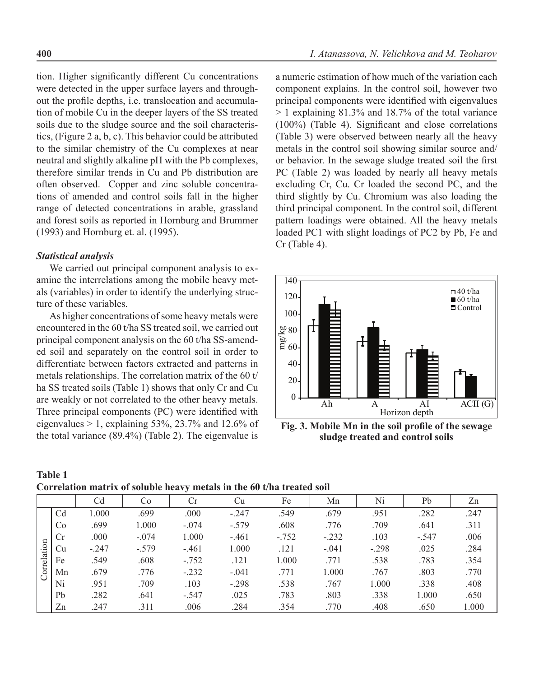tion. Higher significantly different Cu concentrations were detected in the upper surface layers and throughout the profile depths, i.e. translocation and accumulation of mobile Cu in the deeper layers of the SS treated soils due to the sludge source and the soil characteristics, (Figure 2 a, b, c). This behavior could be attributed to the similar chemistry of the Cu complexes at near neutral and slightly alkaline pH with the Pb complexes, therefore similar trends in Cu and Pb distribution are often observed. Copper and zinc soluble concentrations of amended and control soils fall in the higher range of detected concentrations in arable, grassland and forest soils as reported in Hornburg and Brummer (1993) and Hornburg et. al. (1995).

### *Statistical analysis*

We carried out principal component analysis to examine the interrelations among the mobile heavy metals (variables) in order to identify the underlying structure of these variables.

As higher concentrations of some heavy metals were encountered in the 60 t/ha SS treated soil, we carried out principal component analysis on the 60 t/ha SS-amended soil and separately on the control soil in order to differentiate between factors extracted and patterns in metals relationships. The correlation matrix of the 60 t/ ha SS treated soils (Table 1) shows that only Cr and Cu are weakly or not correlated to the other heavy metals. Three principal components (PC) were identified with eigenvalues  $> 1$ , explaining 53%, 23.7% and 12.6% of the total variance (89.4%) (Table 2). The eigenvalue is

a numeric estimation of how much of the variation each component explains. In the control soil, however two principal components were identified with eigenvalues  $> 1$  explaining 81.3% and 18.7% of the total variance (100%) (Table 4). Significant and close correlations (Table 3) were observed between nearly all the heavy metals in the control soil showing similar source and/ or behavior. In the sewage sludge treated soil the first PC (Table 2) was loaded by nearly all heavy metals excluding Cr, Cu. Cr loaded the second PC, and the third slightly by Cu. Chromium was also loading the third principal component. In the control soil, different pattern loadings were obtained. All the heavy metals loaded PC1 with slight loadings of PC2 by Pb, Fe and Cr (Table 4).



**Fig. 3. Mobile Mn in the soil profile of the sewage sludge treated and control soils** 

| Table 1                                                                |  |  |
|------------------------------------------------------------------------|--|--|
| Correlation matrix of soluble heavy metals in the 60 t/ha treated soil |  |  |

|             |                |         |         | $\bullet$ |         |         |         |         |         |       |
|-------------|----------------|---------|---------|-----------|---------|---------|---------|---------|---------|-------|
|             |                | Cd      | Co.     | Cr        | Сu      | Fe      | Mn      | Ni      | Pb      | Zn    |
|             | C <sub>d</sub> | 1.000   | .699    | .000      | $-.247$ | .549    | .679    | .951    | .282    | .247  |
|             | Co             | .699    | 1.000   | $-.074$   | $-.579$ | .608    | .776    | .709    | .641    | .311  |
|             | Cr             | .000    | $-.074$ | 1.000     | $-.461$ | $-.752$ | $-.232$ | .103    | $-.547$ | .006  |
| Correlation | Cu             | $-.247$ | $-.579$ | $-.461$   | 1.000   | .121    | $-.041$ | $-.298$ | .025    | .284  |
|             | Fe             | .549    | .608    | $-.752$   | .121    | 1.000   | .771    | .538    | .783    | .354  |
|             | Mn             | .679    | .776    | $-.232$   | $-.041$ | .771    | 1.000   | .767    | .803    | .770  |
|             | Ni             | .951    | .709    | .103      | $-.298$ | .538    | .767    | 1.000   | .338    | .408  |
|             | Pb             | .282    | .641    | $-.547$   | .025    | .783    | .803    | .338    | 1.000   | .650  |
|             | Zn             | .247    | .311    | .006      | .284    | .354    | .770    | .408    | .650    | 1.000 |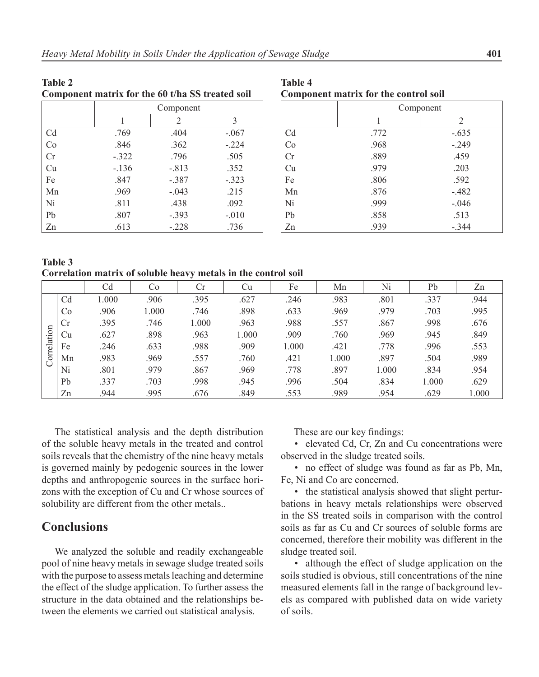| Component matrix for the 60 t/ha SS treated soil |         |           |         |  |  |  |  |  |
|--------------------------------------------------|---------|-----------|---------|--|--|--|--|--|
|                                                  |         | Component |         |  |  |  |  |  |
|                                                  |         | 2         | 3       |  |  |  |  |  |
| C <sub>d</sub>                                   | .769    | .404      | $-.067$ |  |  |  |  |  |
| Co                                               | .846    | .362      | $-.224$ |  |  |  |  |  |
| Cr                                               | $-.322$ | .796      | .505    |  |  |  |  |  |
| Cu                                               | $-.136$ | $-813$    | .352    |  |  |  |  |  |
| Fe                                               | .847    | $-.387$   | $-.323$ |  |  |  |  |  |
| Mn                                               | .969    | $-.043$   | .215    |  |  |  |  |  |
| Ni                                               | .811    | .438      | .092    |  |  |  |  |  |
| P <sub>b</sub>                                   | .807    | $-.393$   | $-.010$ |  |  |  |  |  |
| Zn                                               | .613    | $-.228$   | .736    |  |  |  |  |  |

**Table 4 Component matrix for the control soil**

|    | Component |         |  |  |  |
|----|-----------|---------|--|--|--|
|    |           | 2       |  |  |  |
| Cd | .772      | $-.635$ |  |  |  |
| Co | .968      | $-.249$ |  |  |  |
| Cr | .889      | .459    |  |  |  |
| Cu | .979      | .203    |  |  |  |
| Fe | .806      | .592    |  |  |  |
| Mn | .876      | $-.482$ |  |  |  |
| Ni | .999      | $-.046$ |  |  |  |
| Pb | .858      | .513    |  |  |  |
| Zn | .939      | $-.344$ |  |  |  |

**Table 3 Correlation matrix of soluble heavy metals in the control soil** 

|             |    | Cd   | Co    | Сr    | Сu    | Fe    | Mn    | Ni    | Pb    | Zn    |
|-------------|----|------|-------|-------|-------|-------|-------|-------|-------|-------|
|             | Cd | .000 | .906  | .395  | .627  | .246  | .983  | .801  | .337  | .944  |
|             | Co | .906 | 1.000 | .746  | .898  | .633  | .969  | .979  | .703  | .995  |
|             | Cr | .395 | .746  | 000.1 | .963  | .988  | .557  | .867  | .998  | .676  |
|             | Cu | .627 | .898  | .963  | 1.000 | .909  | .760  | .969  | .945  | .849  |
| Correlation | Fe | .246 | .633  | .988  | .909  | 1.000 | .421  | .778  | .996  | .553  |
|             | Mn | .983 | .969  | .557  | .760  | .421  | 1.000 | .897  | .504  | .989  |
|             | Ni | .801 | .979  | .867  | .969  | .778  | .897  | 1.000 | .834  | .954  |
|             | Pb | .337 | .703  | .998  | .945  | .996  | .504  | .834  | 1.000 | .629  |
|             | Zn | .944 | .995  | .676  | .849  | .553  | .989  | .954  | .629  | 1.000 |

The statistical analysis and the depth distribution of the soluble heavy metals in the treated and control soils reveals that the chemistry of the nine heavy metals is governed mainly by pedogenic sources in the lower depths and anthropogenic sources in the surface horizons with the exception of Cu and Cr whose sources of solubility are different from the other metals..

## **Conclusions**

**Table 2**

We analyzed the soluble and readily exchangeable pool of nine heavy metals in sewage sludge treated soils with the purpose to assess metals leaching and determine the effect of the sludge application. To further assess the structure in the data obtained and the relationships between the elements we carried out statistical analysis.

These are our key findings:

• elevated Cd, Cr, Zn and Cu concentrations were observed in the sludge treated soils.

• no effect of sludge was found as far as Pb, Mn, Fe, Ni and Co are concerned.

• the statistical analysis showed that slight perturbations in heavy metals relationships were observed in the SS treated soils in comparison with the control soils as far as Cu and Cr sources of soluble forms are concerned, therefore their mobility was different in the sludge treated soil.

• although the effect of sludge application on the soils studied is obvious, still concentrations of the nine measured elements fall in the range of background levels as compared with published data on wide variety of soils.